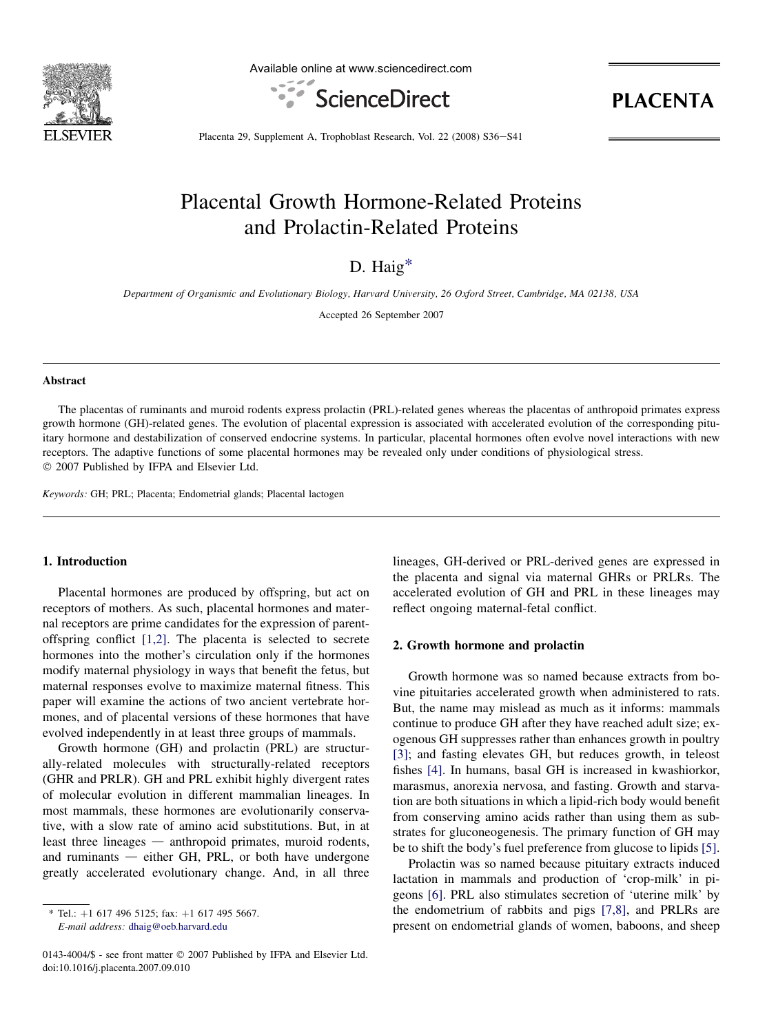

Available online at www.sciencedirect.com



**PLACENTA** 

Placenta 29, Supplement A, Trophoblast Research, Vol. 22 (2008) S36-S41

# Placental Growth Hormone-Related Proteins and Prolactin-Related Proteins

# D. Haig\*

Department of Organismic and Evolutionary Biology, Harvard University, 26 Oxford Street, Cambridge, MA 02138, USA

Accepted 26 September 2007

#### Abstract

The placentas of ruminants and muroid rodents express prolactin (PRL)-related genes whereas the placentas of anthropoid primates express growth hormone (GH)-related genes. The evolution of placental expression is associated with accelerated evolution of the corresponding pituitary hormone and destabilization of conserved endocrine systems. In particular, placental hormones often evolve novel interactions with new receptors. The adaptive functions of some placental hormones may be revealed only under conditions of physiological stress. - 2007 Published by IFPA and Elsevier Ltd.

Keywords: GH; PRL; Placenta; Endometrial glands; Placental lactogen

# 1. Introduction

Placental hormones are produced by offspring, but act on receptors of mothers. As such, placental hormones and maternal receptors are prime candidates for the expression of parentoffspring conflict [\[1,2\]](#page-3-0). The placenta is selected to secrete hormones into the mother's circulation only if the hormones modify maternal physiology in ways that benefit the fetus, but maternal responses evolve to maximize maternal fitness. This paper will examine the actions of two ancient vertebrate hormones, and of placental versions of these hormones that have evolved independently in at least three groups of mammals.

Growth hormone (GH) and prolactin (PRL) are structurally-related molecules with structurally-related receptors (GHR and PRLR). GH and PRL exhibit highly divergent rates of molecular evolution in different mammalian lineages. In most mammals, these hormones are evolutionarily conservative, with a slow rate of amino acid substitutions. But, in at least three lineages  $-$  anthropoid primates, muroid rodents, and ruminants  $-$  either GH, PRL, or both have undergone greatly accelerated evolutionary change. And, in all three

0143-4004/\$ - see front matter © 2007 Published by IFPA and Elsevier Ltd. doi:10.1016/j.placenta.2007.09.010

lineages, GH-derived or PRL-derived genes are expressed in the placenta and signal via maternal GHRs or PRLRs. The accelerated evolution of GH and PRL in these lineages may reflect ongoing maternal-fetal conflict.

#### 2. Growth hormone and prolactin

Growth hormone was so named because extracts from bovine pituitaries accelerated growth when administered to rats. But, the name may mislead as much as it informs: mammals continue to produce GH after they have reached adult size; exogenous GH suppresses rather than enhances growth in poultry [\[3\]](#page-3-0); and fasting elevates GH, but reduces growth, in teleost fishes [\[4\].](#page-3-0) In humans, basal GH is increased in kwashiorkor, marasmus, anorexia nervosa, and fasting. Growth and starvation are both situations in which a lipid-rich body would benefit from conserving amino acids rather than using them as substrates for gluconeogenesis. The primary function of GH may be to shift the body's fuel preference from glucose to lipids [\[5\]](#page-3-0).

Prolactin was so named because pituitary extracts induced lactation in mammals and production of 'crop-milk' in pigeons [\[6\]](#page-3-0). PRL also stimulates secretion of 'uterine milk' by the endometrium of rabbits and pigs [\[7,8\],](#page-3-0) and PRLRs are present on endometrial glands of women, baboons, and sheep

 $*$  Tel.: +1 617 496 5125; fax: +1 617 495 5667. E-mail address: [dhaig@oeb.harvard.edu](mailto:dhaig@oeb.harvard.edu)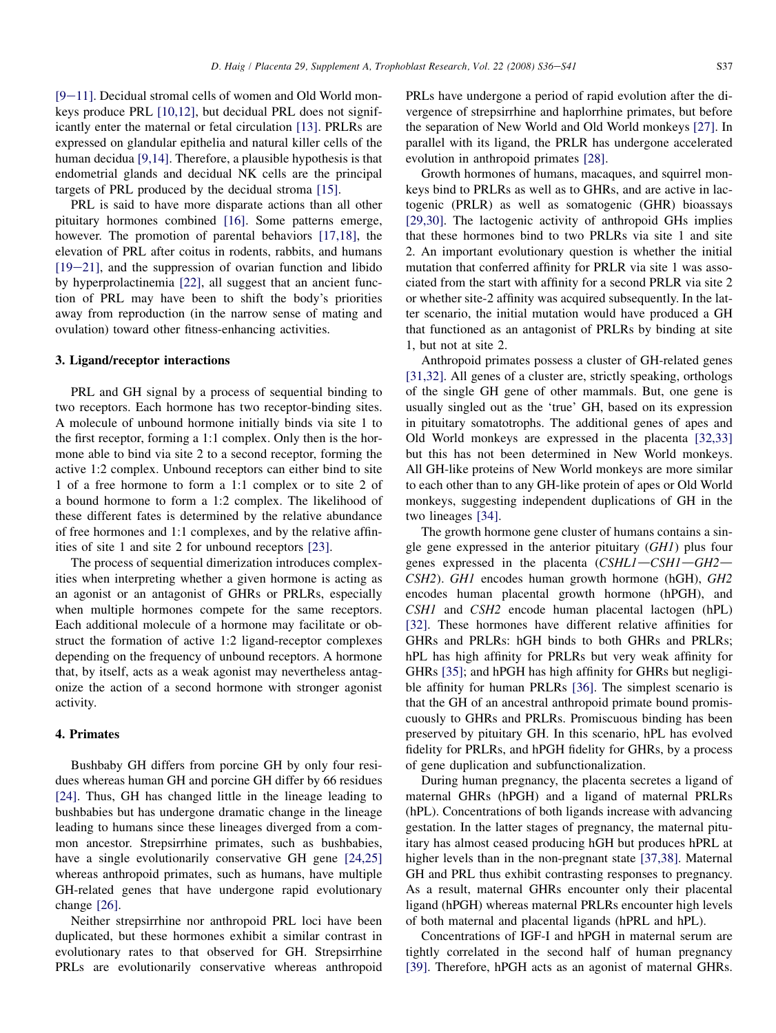$[9-11]$  $[9-11]$ . Decidual stromal cells of women and Old World monkeys produce PRL [\[10,12\],](#page-3-0) but decidual PRL does not significantly enter the maternal or fetal circulation [\[13\]](#page-4-0). PRLRs are expressed on glandular epithelia and natural killer cells of the human decidua [\[9,14\].](#page-3-0) Therefore, a plausible hypothesis is that endometrial glands and decidual NK cells are the principal targets of PRL produced by the decidual stroma [\[15\].](#page-4-0)

PRL is said to have more disparate actions than all other pituitary hormones combined [\[16\]](#page-4-0). Some patterns emerge, however. The promotion of parental behaviors [\[17,18\],](#page-4-0) the elevation of PRL after coitus in rodents, rabbits, and humans  $[19-21]$  $[19-21]$ , and the suppression of ovarian function and libido by hyperprolactinemia [\[22\]](#page-4-0), all suggest that an ancient function of PRL may have been to shift the body's priorities away from reproduction (in the narrow sense of mating and ovulation) toward other fitness-enhancing activities.

#### 3. Ligand/receptor interactions

PRL and GH signal by a process of sequential binding to two receptors. Each hormone has two receptor-binding sites. A molecule of unbound hormone initially binds via site 1 to the first receptor, forming a 1:1 complex. Only then is the hormone able to bind via site 2 to a second receptor, forming the active 1:2 complex. Unbound receptors can either bind to site 1 of a free hormone to form a 1:1 complex or to site 2 of a bound hormone to form a 1:2 complex. The likelihood of these different fates is determined by the relative abundance of free hormones and 1:1 complexes, and by the relative affinities of site 1 and site 2 for unbound receptors [\[23\]](#page-4-0).

The process of sequential dimerization introduces complexities when interpreting whether a given hormone is acting as an agonist or an antagonist of GHRs or PRLRs, especially when multiple hormones compete for the same receptors. Each additional molecule of a hormone may facilitate or obstruct the formation of active 1:2 ligand-receptor complexes depending on the frequency of unbound receptors. A hormone that, by itself, acts as a weak agonist may nevertheless antagonize the action of a second hormone with stronger agonist activity.

#### 4. Primates

Bushbaby GH differs from porcine GH by only four residues whereas human GH and porcine GH differ by 66 residues [\[24\]](#page-4-0). Thus, GH has changed little in the lineage leading to bushbabies but has undergone dramatic change in the lineage leading to humans since these lineages diverged from a common ancestor. Strepsirrhine primates, such as bushbabies, have a single evolutionarily conservative GH gene [\[24,25\]](#page-4-0) whereas anthropoid primates, such as humans, have multiple GH-related genes that have undergone rapid evolutionary change [\[26\].](#page-4-0)

Neither strepsirrhine nor anthropoid PRL loci have been duplicated, but these hormones exhibit a similar contrast in evolutionary rates to that observed for GH. Strepsirrhine PRLs are evolutionarily conservative whereas anthropoid PRLs have undergone a period of rapid evolution after the divergence of strepsirrhine and haplorrhine primates, but before the separation of New World and Old World monkeys [\[27\].](#page-4-0) In parallel with its ligand, the PRLR has undergone accelerated evolution in anthropoid primates [\[28\].](#page-4-0)

Growth hormones of humans, macaques, and squirrel monkeys bind to PRLRs as well as to GHRs, and are active in lactogenic (PRLR) as well as somatogenic (GHR) bioassays [\[29,30\].](#page-4-0) The lactogenic activity of anthropoid GHs implies that these hormones bind to two PRLRs via site 1 and site 2. An important evolutionary question is whether the initial mutation that conferred affinity for PRLR via site 1 was associated from the start with affinity for a second PRLR via site 2 or whether site-2 affinity was acquired subsequently. In the latter scenario, the initial mutation would have produced a GH that functioned as an antagonist of PRLRs by binding at site 1, but not at site 2.

Anthropoid primates possess a cluster of GH-related genes [\[31,32\].](#page-4-0) All genes of a cluster are, strictly speaking, orthologs of the single GH gene of other mammals. But, one gene is usually singled out as the 'true' GH, based on its expression in pituitary somatotrophs. The additional genes of apes and Old World monkeys are expressed in the placenta [\[32,33\]](#page-4-0) but this has not been determined in New World monkeys. All GH-like proteins of New World monkeys are more similar to each other than to any GH-like protein of apes or Old World monkeys, suggesting independent duplications of GH in the two lineages [\[34\].](#page-4-0)

The growth hormone gene cluster of humans contains a single gene expressed in the anterior pituitary (GH1) plus four genes expressed in the placenta  $(CSHL1-CSH1-GH2$ CSH2). GH1 encodes human growth hormone (hGH), GH2 encodes human placental growth hormone (hPGH), and CSH1 and CSH2 encode human placental lactogen (hPL) [\[32\]](#page-4-0). These hormones have different relative affinities for GHRs and PRLRs: hGH binds to both GHRs and PRLRs; hPL has high affinity for PRLRs but very weak affinity for GHRs [\[35\];](#page-4-0) and hPGH has high affinity for GHRs but negligible affinity for human PRLRs [\[36\].](#page-4-0) The simplest scenario is that the GH of an ancestral anthropoid primate bound promiscuously to GHRs and PRLRs. Promiscuous binding has been preserved by pituitary GH. In this scenario, hPL has evolved fidelity for PRLRs, and hPGH fidelity for GHRs, by a process of gene duplication and subfunctionalization.

During human pregnancy, the placenta secretes a ligand of maternal GHRs (hPGH) and a ligand of maternal PRLRs (hPL). Concentrations of both ligands increase with advancing gestation. In the latter stages of pregnancy, the maternal pituitary has almost ceased producing hGH but produces hPRL at higher levels than in the non-pregnant state [\[37,38\].](#page-4-0) Maternal GH and PRL thus exhibit contrasting responses to pregnancy. As a result, maternal GHRs encounter only their placental ligand (hPGH) whereas maternal PRLRs encounter high levels of both maternal and placental ligands (hPRL and hPL).

Concentrations of IGF-I and hPGH in maternal serum are tightly correlated in the second half of human pregnancy [\[39\]](#page-4-0). Therefore, hPGH acts as an agonist of maternal GHRs.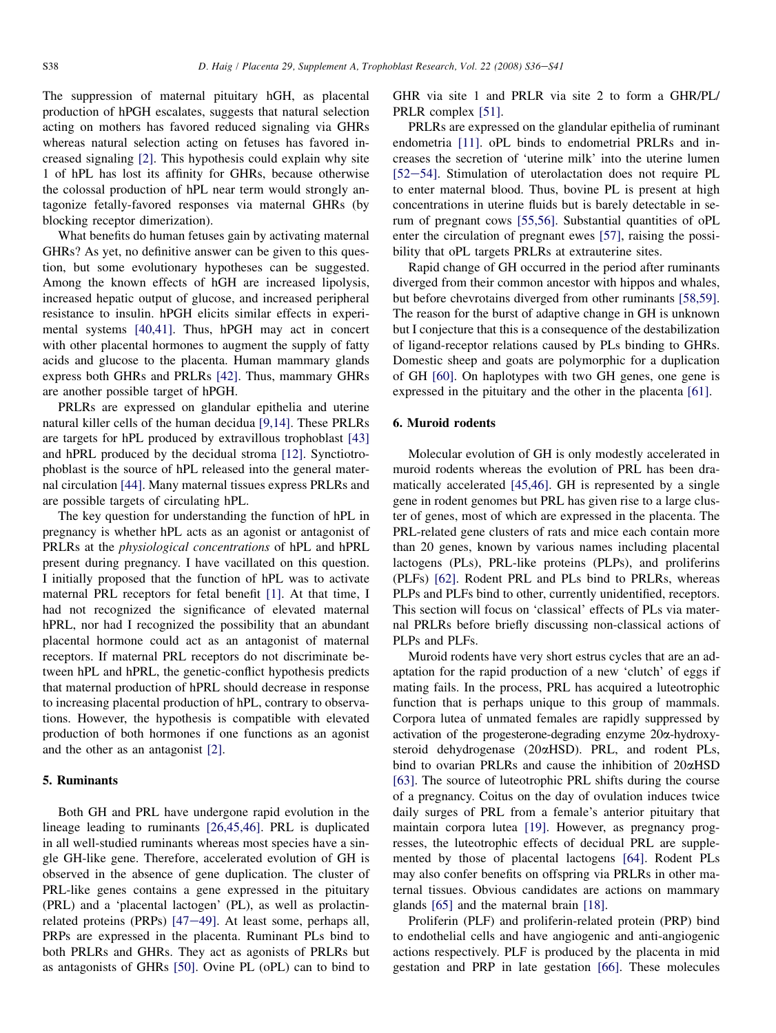The suppression of maternal pituitary hGH, as placental production of hPGH escalates, suggests that natural selection acting on mothers has favored reduced signaling via GHRs whereas natural selection acting on fetuses has favored increased signaling [\[2\].](#page-3-0) This hypothesis could explain why site 1 of hPL has lost its affinity for GHRs, because otherwise the colossal production of hPL near term would strongly antagonize fetally-favored responses via maternal GHRs (by blocking receptor dimerization).

What benefits do human fetuses gain by activating maternal GHRs? As yet, no definitive answer can be given to this question, but some evolutionary hypotheses can be suggested. Among the known effects of hGH are increased lipolysis, increased hepatic output of glucose, and increased peripheral resistance to insulin. hPGH elicits similar effects in experimental systems [\[40,41\]](#page-4-0). Thus, hPGH may act in concert with other placental hormones to augment the supply of fatty acids and glucose to the placenta. Human mammary glands express both GHRs and PRLRs [\[42\].](#page-4-0) Thus, mammary GHRs are another possible target of hPGH.

PRLRs are expressed on glandular epithelia and uterine natural killer cells of the human decidua [\[9,14\].](#page-3-0) These PRLRs are targets for hPL produced by extravillous trophoblast [\[43\]](#page-4-0) and hPRL produced by the decidual stroma [\[12\].](#page-4-0) Synctiotrophoblast is the source of hPL released into the general maternal circulation [\[44\]](#page-4-0). Many maternal tissues express PRLRs and are possible targets of circulating hPL.

The key question for understanding the function of hPL in pregnancy is whether hPL acts as an agonist or antagonist of PRLRs at the physiological concentrations of hPL and hPRL present during pregnancy. I have vacillated on this question. I initially proposed that the function of hPL was to activate maternal PRL receptors for fetal benefit [\[1\].](#page-3-0) At that time, I had not recognized the significance of elevated maternal hPRL, nor had I recognized the possibility that an abundant placental hormone could act as an antagonist of maternal receptors. If maternal PRL receptors do not discriminate between hPL and hPRL, the genetic-conflict hypothesis predicts that maternal production of hPRL should decrease in response to increasing placental production of hPL, contrary to observations. However, the hypothesis is compatible with elevated production of both hormones if one functions as an agonist and the other as an antagonist [\[2\].](#page-3-0)

#### 5. Ruminants

Both GH and PRL have undergone rapid evolution in the lineage leading to ruminants [\[26,45,46\]](#page-4-0). PRL is duplicated in all well-studied ruminants whereas most species have a single GH-like gene. Therefore, accelerated evolution of GH is observed in the absence of gene duplication. The cluster of PRL-like genes contains a gene expressed in the pituitary (PRL) and a 'placental lactogen' (PL), as well as prolactinrelated proteins (PRPs)  $[47-49]$  $[47-49]$  $[47-49]$ . At least some, perhaps all, PRPs are expressed in the placenta. Ruminant PLs bind to both PRLRs and GHRs. They act as agonists of PRLRs but as antagonists of GHRs [\[50\].](#page-4-0) Ovine PL (oPL) can to bind to

GHR via site 1 and PRLR via site 2 to form a GHR/PL/ PRLR complex [\[51\]](#page-4-0).

PRLRs are expressed on the glandular epithelia of ruminant endometria [\[11\]](#page-4-0). oPL binds to endometrial PRLRs and increases the secretion of 'uterine milk' into the uterine lumen [\[52](#page-4-0)-[54\].](#page-4-0) Stimulation of uterolactation does not require PL to enter maternal blood. Thus, bovine PL is present at high concentrations in uterine fluids but is barely detectable in serum of pregnant cows [\[55,56\]](#page-5-0). Substantial quantities of oPL enter the circulation of pregnant ewes [\[57\],](#page-5-0) raising the possibility that oPL targets PRLRs at extrauterine sites.

Rapid change of GH occurred in the period after ruminants diverged from their common ancestor with hippos and whales, but before chevrotains diverged from other ruminants [\[58,59\]](#page-5-0). The reason for the burst of adaptive change in GH is unknown but I conjecture that this is a consequence of the destabilization of ligand-receptor relations caused by PLs binding to GHRs. Domestic sheep and goats are polymorphic for a duplication of GH [\[60\].](#page-5-0) On haplotypes with two GH genes, one gene is expressed in the pituitary and the other in the placenta [\[61\]](#page-5-0).

### 6. Muroid rodents

Molecular evolution of GH is only modestly accelerated in muroid rodents whereas the evolution of PRL has been dramatically accelerated [\[45,46\]](#page-4-0). GH is represented by a single gene in rodent genomes but PRL has given rise to a large cluster of genes, most of which are expressed in the placenta. The PRL-related gene clusters of rats and mice each contain more than 20 genes, known by various names including placental lactogens (PLs), PRL-like proteins (PLPs), and proliferins (PLFs) [\[62\]](#page-5-0). Rodent PRL and PLs bind to PRLRs, whereas PLPs and PLFs bind to other, currently unidentified, receptors. This section will focus on 'classical' effects of PLs via maternal PRLRs before briefly discussing non-classical actions of PLPs and PLFs.

Muroid rodents have very short estrus cycles that are an adaptation for the rapid production of a new 'clutch' of eggs if mating fails. In the process, PRL has acquired a luteotrophic function that is perhaps unique to this group of mammals. Corpora lutea of unmated females are rapidly suppressed by activation of the progesterone-degrading enzyme 20a-hydroxysteroid dehydrogenase (20aHSD). PRL, and rodent PLs, bind to ovarian PRLRs and cause the inhibition of 20aHSD [\[63\]](#page-5-0). The source of luteotrophic PRL shifts during the course of a pregnancy. Coitus on the day of ovulation induces twice daily surges of PRL from a female's anterior pituitary that maintain corpora lutea [\[19\]](#page-4-0). However, as pregnancy progresses, the luteotrophic effects of decidual PRL are supplemented by those of placental lactogens [\[64\].](#page-5-0) Rodent PLs may also confer benefits on offspring via PRLRs in other maternal tissues. Obvious candidates are actions on mammary glands [\[65\]](#page-5-0) and the maternal brain [\[18\]](#page-4-0).

Proliferin (PLF) and proliferin-related protein (PRP) bind to endothelial cells and have angiogenic and anti-angiogenic actions respectively. PLF is produced by the placenta in mid gestation and PRP in late gestation [\[66\].](#page-5-0) These molecules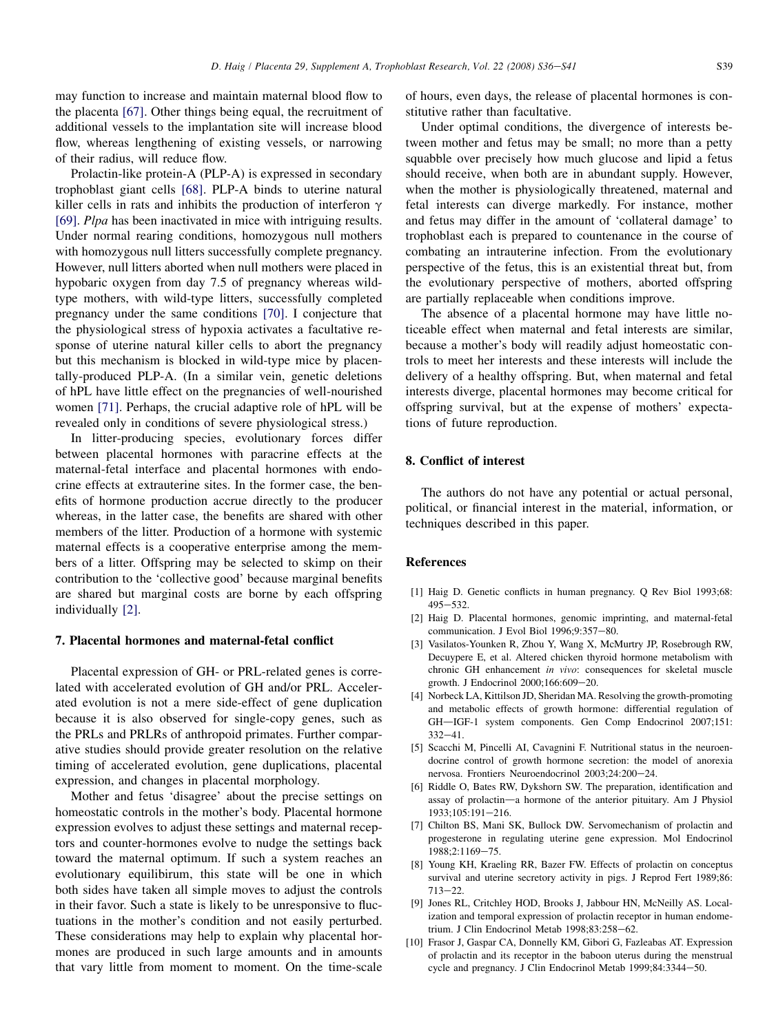<span id="page-3-0"></span>may function to increase and maintain maternal blood flow to the placenta [\[67\].](#page-5-0) Other things being equal, the recruitment of additional vessels to the implantation site will increase blood flow, whereas lengthening of existing vessels, or narrowing of their radius, will reduce flow.

Prolactin-like protein-A (PLP-A) is expressed in secondary trophoblast giant cells [\[68\]](#page-5-0). PLP-A binds to uterine natural killer cells in rats and inhibits the production of interferon  $\gamma$ [\[69\]](#page-5-0). Plpa has been inactivated in mice with intriguing results. Under normal rearing conditions, homozygous null mothers with homozygous null litters successfully complete pregnancy. However, null litters aborted when null mothers were placed in hypobaric oxygen from day 7.5 of pregnancy whereas wildtype mothers, with wild-type litters, successfully completed pregnancy under the same conditions [\[70\].](#page-5-0) I conjecture that the physiological stress of hypoxia activates a facultative response of uterine natural killer cells to abort the pregnancy but this mechanism is blocked in wild-type mice by placentally-produced PLP-A. (In a similar vein, genetic deletions of hPL have little effect on the pregnancies of well-nourished women [\[71\].](#page-5-0) Perhaps, the crucial adaptive role of hPL will be revealed only in conditions of severe physiological stress.)

In litter-producing species, evolutionary forces differ between placental hormones with paracrine effects at the maternal-fetal interface and placental hormones with endocrine effects at extrauterine sites. In the former case, the benefits of hormone production accrue directly to the producer whereas, in the latter case, the benefits are shared with other members of the litter. Production of a hormone with systemic maternal effects is a cooperative enterprise among the members of a litter. Offspring may be selected to skimp on their contribution to the 'collective good' because marginal benefits are shared but marginal costs are borne by each offspring individually [2].

#### 7. Placental hormones and maternal-fetal conflict

Placental expression of GH- or PRL-related genes is correlated with accelerated evolution of GH and/or PRL. Accelerated evolution is not a mere side-effect of gene duplication because it is also observed for single-copy genes, such as the PRLs and PRLRs of anthropoid primates. Further comparative studies should provide greater resolution on the relative timing of accelerated evolution, gene duplications, placental expression, and changes in placental morphology.

Mother and fetus 'disagree' about the precise settings on homeostatic controls in the mother's body. Placental hormone expression evolves to adjust these settings and maternal receptors and counter-hormones evolve to nudge the settings back toward the maternal optimum. If such a system reaches an evolutionary equilibirum, this state will be one in which both sides have taken all simple moves to adjust the controls in their favor. Such a state is likely to be unresponsive to fluctuations in the mother's condition and not easily perturbed. These considerations may help to explain why placental hormones are produced in such large amounts and in amounts that vary little from moment to moment. On the time-scale of hours, even days, the release of placental hormones is constitutive rather than facultative.

Under optimal conditions, the divergence of interests between mother and fetus may be small; no more than a petty squabble over precisely how much glucose and lipid a fetus should receive, when both are in abundant supply. However, when the mother is physiologically threatened, maternal and fetal interests can diverge markedly. For instance, mother and fetus may differ in the amount of 'collateral damage' to trophoblast each is prepared to countenance in the course of combating an intrauterine infection. From the evolutionary perspective of the fetus, this is an existential threat but, from the evolutionary perspective of mothers, aborted offspring are partially replaceable when conditions improve.

The absence of a placental hormone may have little noticeable effect when maternal and fetal interests are similar, because a mother's body will readily adjust homeostatic controls to meet her interests and these interests will include the delivery of a healthy offspring. But, when maternal and fetal interests diverge, placental hormones may become critical for offspring survival, but at the expense of mothers' expectations of future reproduction.

# 8. Conflict of interest

The authors do not have any potential or actual personal, political, or financial interest in the material, information, or techniques described in this paper.

# References

- [1] Haig D. Genetic conflicts in human pregnancy. Q Rev Biol 1993;68:  $495 - 532$ .
- [2] Haig D. Placental hormones, genomic imprinting, and maternal-fetal communication. J Evol Biol 1996;9:357-80.
- [3] Vasilatos-Younken R, Zhou Y, Wang X, McMurtry JP, Rosebrough RW, Decuypere E, et al. Altered chicken thyroid hormone metabolism with chronic GH enhancement in vivo: consequences for skeletal muscle growth. J Endocrinol 2000;166:609-20.
- [4] Norbeck LA, Kittilson JD, Sheridan MA. Resolving the growth-promoting and metabolic effects of growth hormone: differential regulation of GH-IGF-1 system components. Gen Comp Endocrinol 2007;151:  $332 - 41.$
- [5] Scacchi M, Pincelli AI, Cavagnini F. Nutritional status in the neuroendocrine control of growth hormone secretion: the model of anorexia nervosa. Frontiers Neuroendocrinol 2003;24:200-24.
- [6] Riddle O, Bates RW, Dykshorn SW. The preparation, identification and assay of prolactin-a hormone of the anterior pituitary. Am J Physiol 1933;105:191-216.
- [7] Chilton BS, Mani SK, Bullock DW. Servomechanism of prolactin and progesterone in regulating uterine gene expression. Mol Endocrinol 1988;2:1169-75.
- [8] Young KH, Kraeling RR, Bazer FW. Effects of prolactin on conceptus survival and uterine secretory activity in pigs. J Reprod Fert 1989;86:  $713 - 22.$
- [9] Jones RL, Critchley HOD, Brooks J, Jabbour HN, McNeilly AS. Localization and temporal expression of prolactin receptor in human endometrium. J Clin Endocrinol Metab 1998;83:258-62.
- [10] Frasor J, Gaspar CA, Donnelly KM, Gibori G, Fazleabas AT. Expression of prolactin and its receptor in the baboon uterus during the menstrual cycle and pregnancy. J Clin Endocrinol Metab 1999;84:3344-50.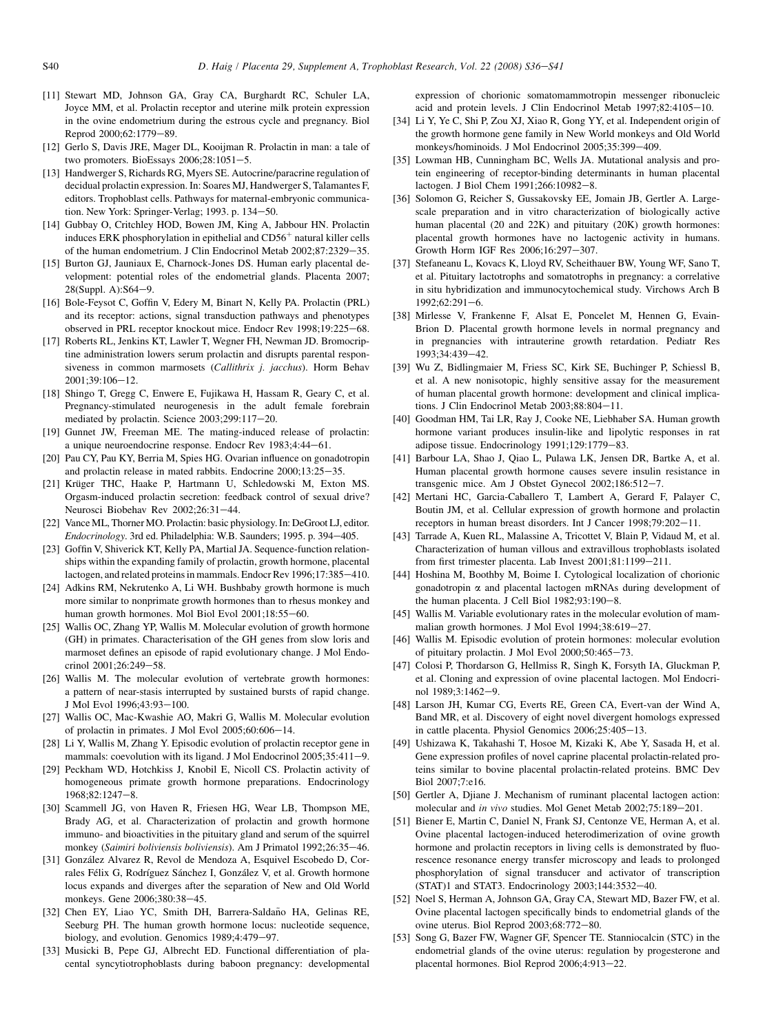- <span id="page-4-0"></span>[11] Stewart MD, Johnson GA, Gray CA, Burghardt RC, Schuler LA, Joyce MM, et al. Prolactin receptor and uterine milk protein expression in the ovine endometrium during the estrous cycle and pregnancy. Biol Reprod 2000;62:1779-89.
- [12] Gerlo S, Davis JRE, Mager DL, Kooijman R. Prolactin in man: a tale of two promoters. BioEssays  $2006;28:1051-5$ .
- [13] Handwerger S, Richards RG, Myers SE. Autocrine/paracrine regulation of decidual prolactin expression. In: Soares MJ, Handwerger S, Talamantes F, editors. Trophoblast cells. Pathways for maternal-embryonic communication. New York: Springer-Verlag; 1993. p. 134-50.
- [14] Gubbay O, Critchley HOD, Bowen JM, King A, Jabbour HN. Prolactin induces ERK phosphorylation in epithelial and  $CD56<sup>+</sup>$  natural killer cells of the human endometrium. J Clin Endocrinol Metab 2002;87:2329-35.
- [15] Burton GJ, Jauniaux E, Charnock-Jones DS. Human early placental development: potential roles of the endometrial glands. Placenta 2007;  $28(Suppl. A):S64-9.$
- [16] Bole-Feysot C, Goffin V, Edery M, Binart N, Kelly PA. Prolactin (PRL) and its receptor: actions, signal transduction pathways and phenotypes observed in PRL receptor knockout mice. Endocr Rev 1998;19:225-68.
- [17] Roberts RL, Jenkins KT, Lawler T, Wegner FH, Newman JD. Bromocriptine administration lowers serum prolactin and disrupts parental responsiveness in common marmosets (Callithrix j. jacchus). Horm Behav  $2001:39:106-12$ .
- [18] Shingo T, Gregg C, Enwere E, Fujikawa H, Hassam R, Geary C, et al. Pregnancy-stimulated neurogenesis in the adult female forebrain mediated by prolactin. Science 2003;299:117-20.
- [19] Gunnet JW, Freeman ME. The mating-induced release of prolactin: a unique neuroendocrine response. Endocr Rev 1983;4:44-61.
- [20] Pau CY, Pau KY, Berria M, Spies HG. Ovarian influence on gonadotropin and prolactin release in mated rabbits. Endocrine  $2000;13:25-35$ .
- [21] Krüger THC, Haake P, Hartmann U, Schledowski M, Exton MS. Orgasm-induced prolactin secretion: feedback control of sexual drive? Neurosci Biobehav Rev 2002;26:31-44.
- [22] Vance ML, Thorner MO. Prolactin: basic physiology. In: DeGroot LJ, editor. Endocrinology. 3rd ed. Philadelphia: W.B. Saunders; 1995. p. 394-405.
- [23] Goffin V, Shiverick KT, Kelly PA, Martial JA. Sequence-function relationships within the expanding family of prolactin, growth hormone, placental lactogen, and related proteins in mammals. Endocr Rev 1996;17:385-410.
- [24] Adkins RM, Nekrutenko A, Li WH. Bushbaby growth hormone is much more similar to nonprimate growth hormones than to rhesus monkey and human growth hormones. Mol Biol Evol 2001;18:55-60.
- [25] Wallis OC, Zhang YP, Wallis M. Molecular evolution of growth hormone (GH) in primates. Characterisation of the GH genes from slow loris and marmoset defines an episode of rapid evolutionary change. J Mol Endocrinol 2001:26:249-58.
- [26] Wallis M. The molecular evolution of vertebrate growth hormones: a pattern of near-stasis interrupted by sustained bursts of rapid change. J Mol Evol 1996;43:93-100.
- [27] Wallis OC, Mac-Kwashie AO, Makri G, Wallis M. Molecular evolution of prolactin in primates. J Mol Evol  $2005;60:606-14$ .
- [28] Li Y, Wallis M, Zhang Y. Episodic evolution of prolactin receptor gene in mammals: coevolution with its ligand. J Mol Endocrinol 2005;35:411-9.
- [29] Peckham WD, Hotchkiss J, Knobil E, Nicoll CS. Prolactin activity of homogeneous primate growth hormone preparations. Endocrinology 1968;82:1247-8.
- [30] Scammell JG, von Haven R, Friesen HG, Wear LB, Thompson ME, Brady AG, et al. Characterization of prolactin and growth hormone immuno- and bioactivities in the pituitary gland and serum of the squirrel monkey (Saimiri boliviensis boliviensis). Am J Primatol 1992;26:35-46.
- [31] González Alvarez R, Revol de Mendoza A, Esquivel Escobedo D, Corrales Félix G, Rodríguez Sánchez I, González V, et al. Growth hormone locus expands and diverges after the separation of New and Old World monkeys. Gene 2006;380:38-45.
- [32] Chen EY, Liao YC, Smith DH, Barrera-Saldaño HA, Gelinas RE, Seeburg PH. The human growth hormone locus: nucleotide sequence, biology, and evolution. Genomics 1989;4:479-97.
- [33] Musicki B, Pepe GJ, Albrecht ED. Functional differentiation of placental syncytiotrophoblasts during baboon pregnancy: developmental

expression of chorionic somatomammotropin messenger ribonucleic acid and protein levels. J Clin Endocrinol Metab  $1997;82:4105-10$ .

- [34] Li Y, Ye C, Shi P, Zou XJ, Xiao R, Gong YY, et al. Independent origin of the growth hormone gene family in New World monkeys and Old World monkeys/hominoids. J Mol Endocrinol 2005;35:399-409.
- [35] Lowman HB, Cunningham BC, Wells JA. Mutational analysis and protein engineering of receptor-binding determinants in human placental lactogen. J Biol Chem 1991;266:10982-8.
- [36] Solomon G, Reicher S, Gussakovsky EE, Jomain JB, Gertler A. Largescale preparation and in vitro characterization of biologically active human placental (20 and 22K) and pituitary (20K) growth hormones: placental growth hormones have no lactogenic activity in humans. Growth Horm IGF Res 2006;16:297-307.
- [37] Stefaneanu L, Kovacs K, Lloyd RV, Scheithauer BW, Young WF, Sano T, et al. Pituitary lactotrophs and somatotrophs in pregnancy: a correlative in situ hybridization and immunocytochemical study. Virchows Arch B  $1992:62:291-6.$
- [38] Mirlesse V, Frankenne F, Alsat E, Poncelet M, Hennen G, Evain-Brion D. Placental growth hormone levels in normal pregnancy and in pregnancies with intrauterine growth retardation. Pediatr Res 1993:34:439-42.
- [39] Wu Z, Bidlingmaier M, Friess SC, Kirk SE, Buchinger P, Schiessl B, et al. A new nonisotopic, highly sensitive assay for the measurement of human placental growth hormone: development and clinical implications. J Clin Endocrinol Metab  $2003;88:804-11$ .
- [40] Goodman HM, Tai LR, Ray J, Cooke NE, Liebhaber SA. Human growth hormone variant produces insulin-like and lipolytic responses in rat adipose tissue. Endocrinology 1991;129:1779-83.
- [41] Barbour LA, Shao J, Qiao L, Pulawa LK, Jensen DR, Bartke A, et al. Human placental growth hormone causes severe insulin resistance in transgenic mice. Am J Obstet Gynecol 2002;186:512-7.
- [42] Mertani HC, Garcia-Caballero T, Lambert A, Gerard F, Palayer C, Boutin JM, et al. Cellular expression of growth hormone and prolactin receptors in human breast disorders. Int J Cancer 1998;79:202-11.
- [43] Tarrade A, Kuen RL, Malassine A, Tricottet V, Blain P, Vidaud M, et al. Characterization of human villous and extravillous trophoblasts isolated from first trimester placenta. Lab Invest 2001;81:1199-211.
- [44] Hoshina M, Boothby M, Boime I. Cytological localization of chorionic gonadotropin  $\alpha$  and placental lactogen mRNAs during development of the human placenta. J Cell Biol  $1982;93:190-8$ .
- [45] Wallis M. Variable evolutionary rates in the molecular evolution of mammalian growth hormones. J Mol Evol  $1994;38:619-27$ .
- [46] Wallis M. Episodic evolution of protein hormones: molecular evolution of pituitary prolactin. J Mol Evol 2000;50:465-73.
- [47] Colosi P, Thordarson G, Hellmiss R, Singh K, Forsyth IA, Gluckman P, et al. Cloning and expression of ovine placental lactogen. Mol Endocrinol 1989;3:1462-9.
- [48] Larson JH, Kumar CG, Everts RE, Green CA, Evert-van der Wind A, Band MR, et al. Discovery of eight novel divergent homologs expressed in cattle placenta. Physiol Genomics  $2006;25:405-13$ .
- [49] Ushizawa K, Takahashi T, Hosoe M, Kizaki K, Abe Y, Sasada H, et al. Gene expression profiles of novel caprine placental prolactin-related proteins similar to bovine placental prolactin-related proteins. BMC Dev Biol 2007;7:e16.
- [50] Gertler A, Djiane J. Mechanism of ruminant placental lactogen action: molecular and in vivo studies. Mol Genet Metab 2002;75:189-201.
- [51] Biener E, Martin C, Daniel N, Frank SJ, Centonze VE, Herman A, et al. Ovine placental lactogen-induced heterodimerization of ovine growth hormone and prolactin receptors in living cells is demonstrated by fluorescence resonance energy transfer microscopy and leads to prolonged phosphorylation of signal transducer and activator of transcription  $(STAT)1$  and  $STAT3$ . Endocrinology  $2003;144:3532-40$ .
- [52] Noel S, Herman A, Johnson GA, Gray CA, Stewart MD, Bazer FW, et al. Ovine placental lactogen specifically binds to endometrial glands of the ovine uterus. Biol Reprod  $2003;68:772-80$ .
- [53] Song G, Bazer FW, Wagner GF, Spencer TE. Stanniocalcin (STC) in the endometrial glands of the ovine uterus: regulation by progesterone and placental hormones. Biol Reprod 2006;4:913-22.